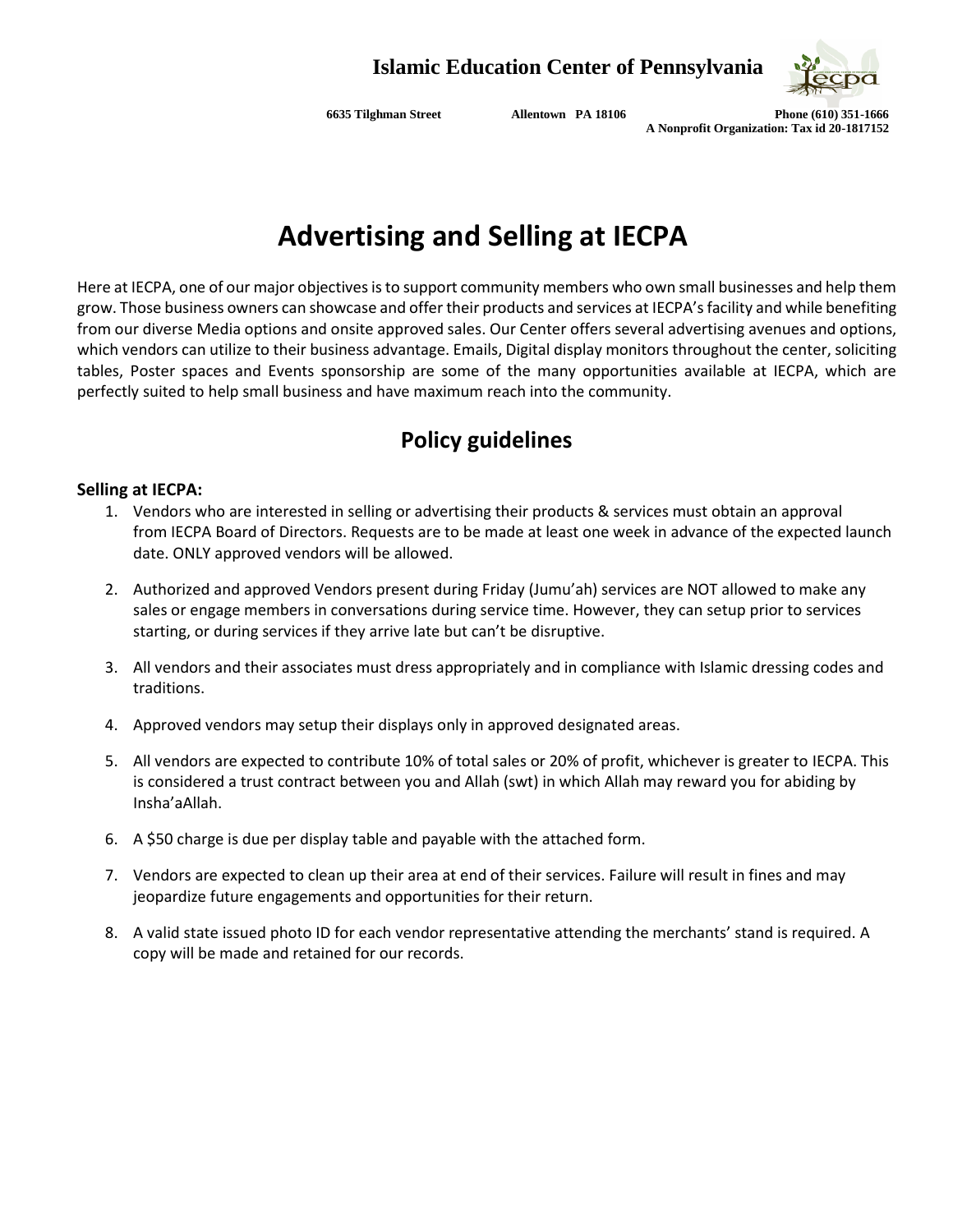

**6635 Tilghman Street Allentown PA 18106 Phone (610) 351-1666 A Nonprofit Organization: Tax id 20-1817152**

# **Advertising and Selling at IECPA**

Here at IECPA, one of our major objectives is to support community members who own small businesses and help them grow. Those business owners can showcase and offer their products and services at IECPA's facility and while benefiting from our diverse Media options and onsite approved sales. Our Center offers several advertising avenues and options, which vendors can utilize to their business advantage. Emails, Digital display monitors throughout the center, soliciting tables, Poster spaces and Events sponsorship are some of the many opportunities available at IECPA, which are perfectly suited to help small business and have maximum reach into the community.

### **Policy guidelines**

#### **Selling at IECPA:**

- 1. Vendors who are interested in selling or advertising their products & services must obtain an approval from IECPA Board of Directors. Requests are to be made at least one week in advance of the expected launch date. ONLY approved vendors will be allowed.
- 2. Authorized and approved Vendors present during Friday (Jumu'ah) services are NOT allowed to make any sales or engage members in conversations during service time. However, they can setup prior to services starting, or during services if they arrive late but can't be disruptive.
- 3. All vendors and their associates must dress appropriately and in compliance with Islamic dressing codes and traditions.
- 4. Approved vendors may setup their displays only in approved designated areas.
- 5. All vendors are expected to contribute 10% of total sales or 20% of profit, whichever is greater to IECPA. This is considered a trust contract between you and Allah (swt) in which Allah may reward you for abiding by Insha'aAllah.
- 6. A \$50 charge is due per display table and payable with the attached form.
- 7. Vendors are expected to clean up their area at end of their services. Failure will result in fines and may jeopardize future engagements and opportunities for their return.
- 8. A valid state issued photo ID for each vendor representative attending the merchants' stand is required. A copy will be made and retained for our records.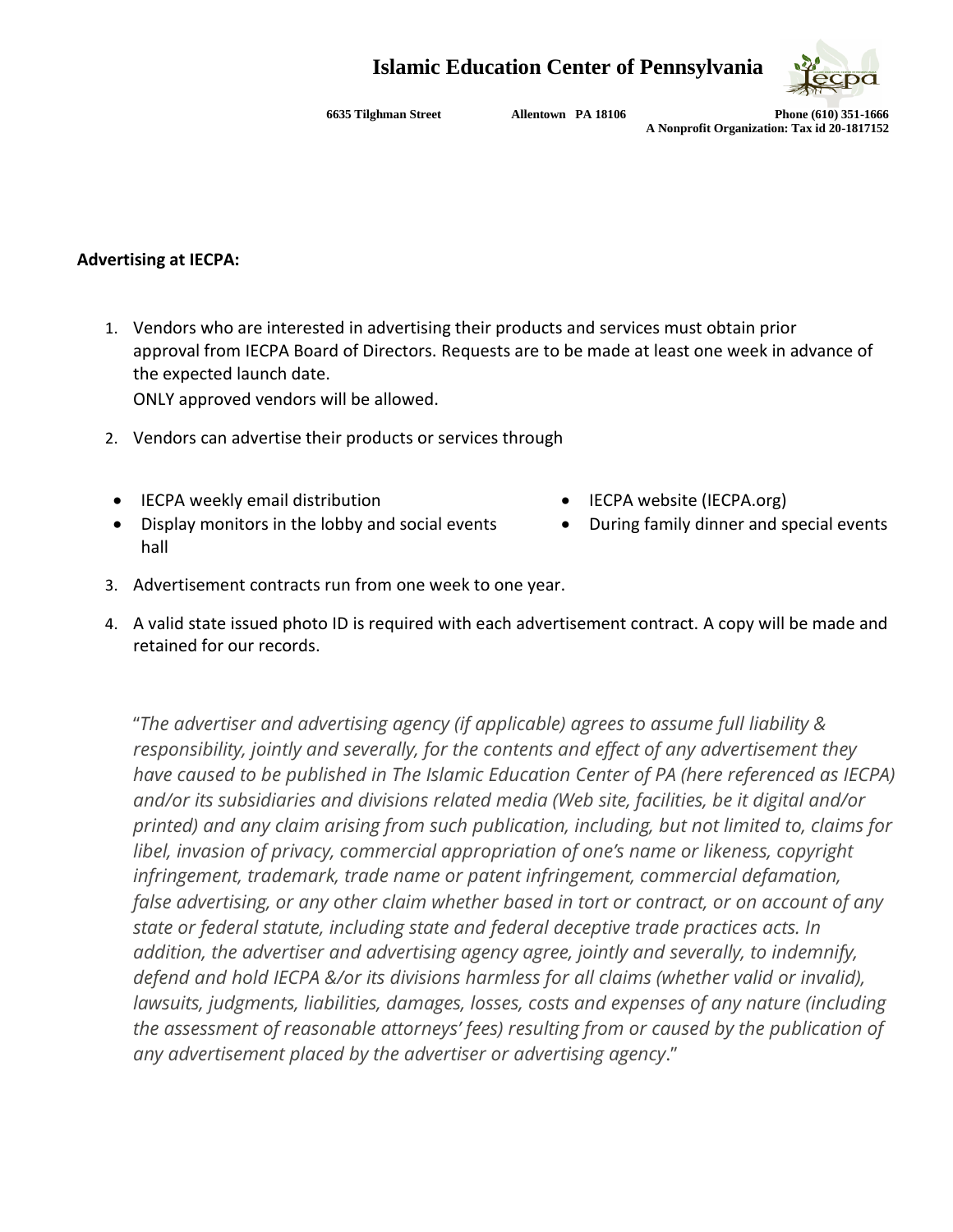### **Islamic Education Center of Pennsylvania**



**6635 Tilghman Street Allentown PA 18106 Phone (610) 351-1666 A Nonprofit Organization: Tax id 20-1817152**

#### **Advertising at IECPA:**

1. Vendors who are interested in advertising their products and services must obtain prior approval from IECPA Board of Directors. Requests are to be made at least one week in advance of the expected launch date.

ONLY approved vendors will be allowed.

- 2. Vendors can advertise their products or services through
- IECPA weekly email distribution IECPA website (IECPA.org)
- Display monitors in the lobby and social events hall
- 
- During family dinner and special events
- 3. Advertisement contracts run from one week to one year.
- 4. A valid state issued photo ID is required with each advertisement contract. A copy will be made and retained for our records.

"*The advertiser and advertising agency (if applicable) agrees to assume full liability & responsibility, jointly and severally, for the contents and effect of any advertisement they have caused to be published in The Islamic Education Center of PA (here referenced as IECPA) and/or its subsidiaries and divisions related media (Web site, facilities, be it digital and/or printed) and any claim arising from such publication, including, but not limited to, claims for libel, invasion of privacy, commercial appropriation of one's name or likeness, copyright infringement, trademark, trade name or patent infringement, commercial defamation, false advertising, or any other claim whether based in tort or contract, or on account of any state or federal statute, including state and federal deceptive trade practices acts. In addition, the advertiser and advertising agency agree, jointly and severally, to indemnify, defend and hold IECPA &/or its divisions harmless for all claims (whether valid or invalid), lawsuits, judgments, liabilities, damages, losses, costs and expenses of any nature (including the assessment of reasonable attorneys' fees) resulting from or caused by the publication of any advertisement placed by the advertiser or advertising agency*."